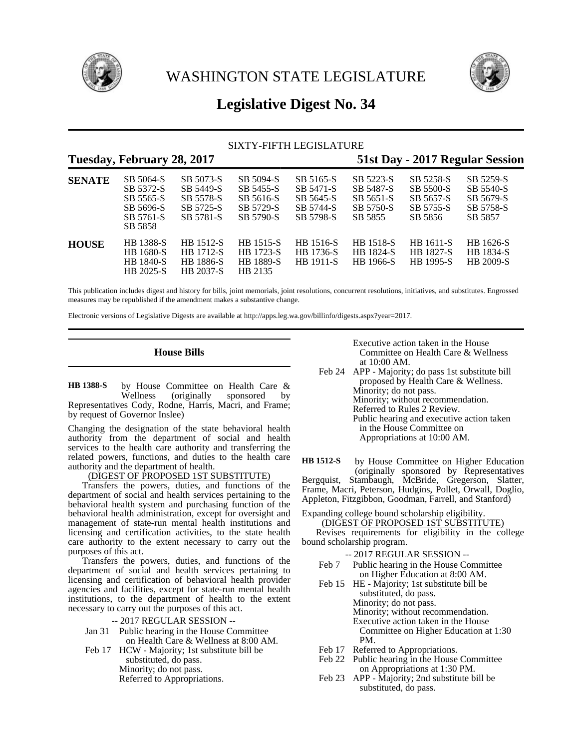

WASHINGTON STATE LEGISLATURE



# **Legislative Digest No. 34**

### SIXTY-FIFTH LEGISLATURE **Tuesday, February 28, 2017 51st Day - 2017 Regular Session**

| 100,000,001,001,000,001 |                                                                          |                                                               |                                                               |                                                               | $\sum_{i=1}^{n}$                                            |                                                             |                                                             |
|-------------------------|--------------------------------------------------------------------------|---------------------------------------------------------------|---------------------------------------------------------------|---------------------------------------------------------------|-------------------------------------------------------------|-------------------------------------------------------------|-------------------------------------------------------------|
| <b>SENATE</b>           | SB 5064-S<br>SB 5372-S<br>SB 5565-S<br>SB 5696-S<br>SB 5761-S<br>SB 5858 | SB 5073-S<br>SB 5449-S<br>SB 5578-S<br>SB 5725-S<br>SB 5781-S | SB 5094-S<br>SB 5455-S<br>SB 5616-S<br>SB 5729-S<br>SB 5790-S | SB 5165-S<br>SB 5471-S<br>SB 5645-S<br>SB 5744-S<br>SB 5798-S | SB 5223-S<br>SB 5487-S<br>SB 5651-S<br>SB 5750-S<br>SB 5855 | SB 5258-S<br>SB 5500-S<br>SB 5657-S<br>SB 5755-S<br>SB 5856 | SB 5259-S<br>SB 5540-S<br>SB 5679-S<br>SB 5758-S<br>SB 5857 |
| <b>HOUSE</b>            | <b>HB</b> 1388-S<br>HB 1680-S<br><b>HB</b> 1840-S<br>HB 2025-S           | HB 1512-S<br>HB 1712-S<br><b>HB</b> 1886-S<br>HB 2037-S       | <b>HB</b> 1515-S<br>HB 1723-S<br>HB 1889-S<br>HB 2135         | HB 1516-S<br>HB 1736-S<br><b>HB</b> 1911-S                    | HB 1518-S<br>HB 1824-S<br>HB 1966-S                         | HB 1611-S<br><b>HB</b> 1827-S<br><b>HB</b> 1995-S           | HB 1626-S<br><b>HB</b> 1834-S<br><b>HB 2009-S</b>           |

This publication includes digest and history for bills, joint memorials, joint resolutions, concurrent resolutions, initiatives, and substitutes. Engrossed measures may be republished if the amendment makes a substantive change.

Electronic versions of Legislative Digests are available at http://apps.leg.wa.gov/billinfo/digests.aspx?year=2017.

### **House Bills**

by House Committee on Health Care &<br>Wellness (originally sponsored by sponsored by Representatives Cody, Rodne, Harris, Macri, and Frame; by request of Governor Inslee) **HB 1388-S**

Changing the designation of the state behavioral health authority from the department of social and health services to the health care authority and transferring the related powers, functions, and duties to the health care authority and the department of health.

(DIGEST OF PROPOSED 1ST SUBSTITUTE)

Transfers the powers, duties, and functions of the department of social and health services pertaining to the behavioral health system and purchasing function of the behavioral health administration, except for oversight and management of state-run mental health institutions and licensing and certification activities, to the state health care authority to the extent necessary to carry out the purposes of this act.

Transfers the powers, duties, and functions of the department of social and health services pertaining to licensing and certification of behavioral health provider agencies and facilities, except for state-run mental health institutions, to the department of health to the extent necessary to carry out the purposes of this act.

- -- 2017 REGULAR SESSION --
- Jan 31 Public hearing in the House Committee on Health Care & Wellness at 8:00 AM.
- Feb 17 HCW Majority; 1st substitute bill be substituted, do pass. Minority; do not pass. Referred to Appropriations.

Executive action taken in the House Committee on Health Care & Wellness at 10:00 AM.

Feb 24 APP - Majority; do pass 1st substitute bill proposed by Health Care & Wellness. Minority; do not pass. Minority; without recommendation. Referred to Rules 2 Review. Public hearing and executive action taken in the House Committee on Appropriations at 10:00 AM.

by House Committee on Higher Education (originally sponsored by Representatives Bergquist, Stambaugh, McBride, Gregerson, Slatter, Frame, Macri, Peterson, Hudgins, Pollet, Orwall, Doglio, Appleton, Fitzgibbon, Goodman, Farrell, and Stanford) **HB 1512-S**

Expanding college bound scholarship eligibility.

(DIGEST OF PROPOSED 1ST SUBSTITUTE)

Revises requirements for eligibility in the college bound scholarship program.

- -- 2017 REGULAR SESSION --
- Feb 7 Public hearing in the House Committee on Higher Education at 8:00 AM.
- Feb 15 HE Majority; 1st substitute bill be substituted, do pass. Minority; do not pass. Minority; without recommendation. Executive action taken in the House Committee on Higher Education at 1:30 PM.
- Feb 17 Referred to Appropriations.<br>Feb 22 Public hearing in the House
- Public hearing in the House Committee on Appropriations at 1:30 PM.
- Feb 23 APP Majority; 2nd substitute bill be substituted, do pass.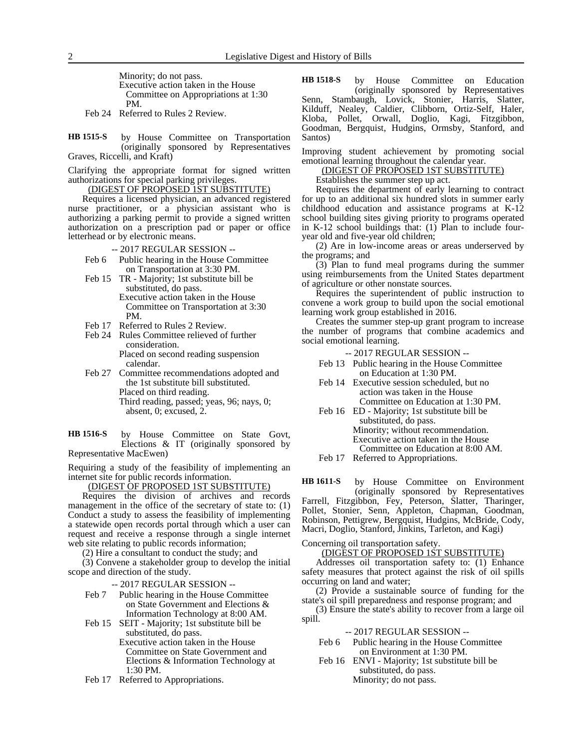Minority; do not pass. Executive action taken in the House Committee on Appropriations at 1:30 PM.

Feb 24 Referred to Rules 2 Review.

by House Committee on Transportation (originally sponsored by Representatives Graves, Riccelli, and Kraft) **HB 1515-S**

Clarifying the appropriate format for signed written authorizations for special parking privileges.

(DIGEST OF PROPOSED 1ST SUBSTITUTE)

Requires a licensed physician, an advanced registered nurse practitioner, or a physician assistant who is authorizing a parking permit to provide a signed written authorization on a prescription pad or paper or office letterhead or by electronic means.

-- 2017 REGULAR SESSION --

- Feb 6 Public hearing in the House Committee on Transportation at 3:30 PM.
- Feb 15 TR Majority; 1st substitute bill be substituted, do pass. Executive action taken in the House

Committee on Transportation at 3:30 PM.

- Feb 17 Referred to Rules 2 Review.
- Feb 24 Rules Committee relieved of further consideration. Placed on second reading suspension calendar.
- Feb 27 Committee recommendations adopted and the 1st substitute bill substituted. Placed on third reading. Third reading, passed; yeas, 96; nays, 0; absent, 0; excused, 2.
- by House Committee on State Govt, Elections & IT (originally sponsored by Representative MacEwen) **HB 1516-S**

Requiring a study of the feasibility of implementing an internet site for public records information.

(DIGEST OF PROPOSED 1ST SUBSTITUTE)

Requires the division of archives and records management in the office of the secretary of state to: (1) Conduct a study to assess the feasibility of implementing a statewide open records portal through which a user can request and receive a response through a single internet web site relating to public records information;

(2) Hire a consultant to conduct the study; and

(3) Convene a stakeholder group to develop the initial scope and direction of the study.

-- 2017 REGULAR SESSION --

- Feb 7 Public hearing in the House Committee on State Government and Elections & Information Technology at 8:00 AM.
- Feb 15 SEIT Majority; 1st substitute bill be substituted, do pass. Executive action taken in the House
	- Committee on State Government and Elections & Information Technology at 1:30 PM.
- Feb 17 Referred to Appropriations.

by House Committee on Education (originally sponsored by Representatives Senn, Stambaugh, Lovick, Stonier, Harris, Slatter, Kilduff, Nealey, Caldier, Clibborn, Ortiz-Self, Haler, Kloba, Pollet, Orwall, Doglio, Kagi, Fitzgibbon, Goodman, Bergquist, Hudgins, Ormsby, Stanford, and Santos) **HB 1518-S**

Improving student achievement by promoting social emotional learning throughout the calendar year.

(DIGEST OF PROPOSED 1ST SUBSTITUTE)

Establishes the summer step up act.

Requires the department of early learning to contract for up to an additional six hundred slots in summer early childhood education and assistance programs at K-12 school building sites giving priority to programs operated in K-12 school buildings that: (1) Plan to include fouryear old and five-year old children;

(2) Are in low-income areas or areas underserved by the programs; and

(3) Plan to fund meal programs during the summer using reimbursements from the United States department of agriculture or other nonstate sources.

Requires the superintendent of public instruction to convene a work group to build upon the social emotional learning work group established in 2016.

Creates the summer step-up grant program to increase the number of programs that combine academics and social emotional learning.

- -- 2017 REGULAR SESSION --
- Feb 13 Public hearing in the House Committee on Education at 1:30 PM.
- Feb 14 Executive session scheduled, but no action was taken in the House Committee on Education at 1:30 PM.
- Feb 16 ED Majority; 1st substitute bill be substituted, do pass. Minority; without recommendation. Executive action taken in the House Committee on Education at 8:00 AM.
- Feb 17 Referred to Appropriations.

by House Committee on Environment (originally sponsored by Representatives Farrell, Fitzgibbon, Fey, Peterson, Slatter, Tharinger, Pollet, Stonier, Senn, Appleton, Chapman, Goodman, Robinson, Pettigrew, Bergquist, Hudgins, McBride, Cody, Macri, Doglio, Stanford, Jinkins, Tarleton, and Kagi) **HB 1611-S**

Concerning oil transportation safety.

(DIGEST OF PROPOSED 1ST SUBSTITUTE)

Addresses oil transportation safety to: (1) Enhance safety measures that protect against the risk of oil spills occurring on land and water;

(2) Provide a sustainable source of funding for the state's oil spill preparedness and response program; and

(3) Ensure the state's ability to recover from a large oil spill.

#### -- 2017 REGULAR SESSION --

- Feb 6 Public hearing in the House Committee on Environment at 1:30 PM.
- Feb 16 ENVI Majority; 1st substitute bill be substituted, do pass. Minority; do not pass.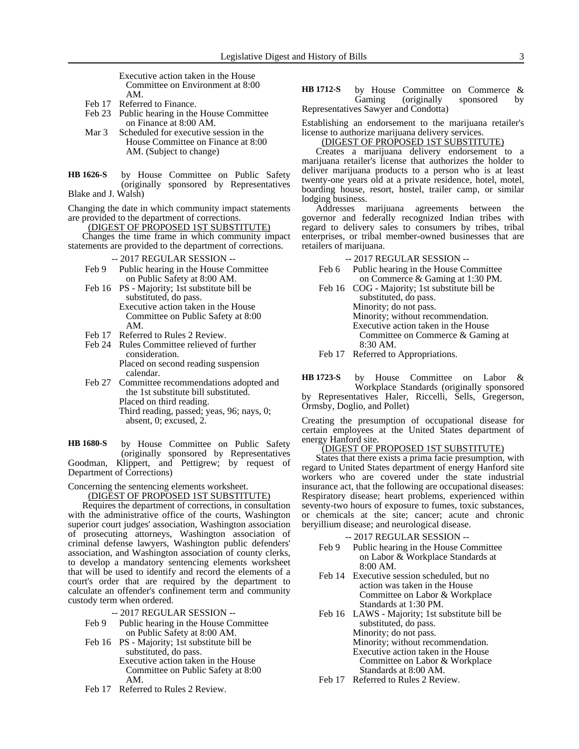Executive action taken in the House Committee on Environment at 8:00 AM.

- Feb 17 Referred to Finance.
- Feb 23 Public hearing in the House Committee on Finance at 8:00 AM.
- Mar 3 Scheduled for executive session in the House Committee on Finance at 8:00 AM. (Subject to change)
- by House Committee on Public Safety (originally sponsored by Representatives Blake and J. Walsh) **HB 1626-S**

Changing the date in which community impact statements are provided to the department of corrections.

(DIGEST OF PROPOSED 1ST SUBSTITUTE)

Changes the time frame in which community impact statements are provided to the department of corrections.

-- 2017 REGULAR SESSION --

- Feb 9 Public hearing in the House Committee on Public Safety at 8:00 AM.
- Feb 16 PS Majority; 1st substitute bill be substituted, do pass. Executive action taken in the House Committee on Public Safety at 8:00 AM.
- Feb 17 Referred to Rules 2 Review.
- Feb 24 Rules Committee relieved of further consideration. Placed on second reading suspension calendar.
- Feb 27 Committee recommendations adopted and the 1st substitute bill substituted. Placed on third reading. Third reading, passed; yeas, 96; nays, 0; absent, 0; excused, 2.

by House Committee on Public Safety (originally sponsored by Representatives Goodman, Klippert, and Pettigrew; by request of Department of Corrections) **HB 1680-S**

Concerning the sentencing elements worksheet.

(DIGEST OF PROPOSED 1ST SUBSTITUTE)

Requires the department of corrections, in consultation with the administrative office of the courts, Washington superior court judges' association, Washington association of prosecuting attorneys, Washington association of criminal defense lawyers, Washington public defenders' association, and Washington association of county clerks, to develop a mandatory sentencing elements worksheet that will be used to identify and record the elements of a court's order that are required by the department to calculate an offender's confinement term and community custody term when ordered.

-- 2017 REGULAR SESSION --

- Feb 9 Public hearing in the House Committee on Public Safety at 8:00 AM.
- Feb 16 PS Majority; 1st substitute bill be substituted, do pass. Executive action taken in the House
	- Committee on Public Safety at 8:00 AM.
- Feb 17 Referred to Rules 2 Review.

#### by House Committee on Commerce & Gaming (originally sponsored by Representatives Sawyer and Condotta) **HB 1712-S**

Establishing an endorsement to the marijuana retailer's license to authorize marijuana delivery services.

(DIGEST OF PROPOSED 1ST SUBSTITUTE)

Creates a marijuana delivery endorsement to a marijuana retailer's license that authorizes the holder to deliver marijuana products to a person who is at least twenty-one years old at a private residence, hotel, motel, boarding house, resort, hostel, trailer camp, or similar lodging business.

Addresses marijuana agreements between the governor and federally recognized Indian tribes with regard to delivery sales to consumers by tribes, tribal enterprises, or tribal member-owned businesses that are retailers of marijuana.

-- 2017 REGULAR SESSION --

- Feb 6 Public hearing in the House Committee on Commerce & Gaming at 1:30 PM.
- Feb 16 COG Majority; 1st substitute bill be substituted, do pass. Minority; do not pass. Minority; without recommendation. Executive action taken in the House Committee on Commerce & Gaming at 8:30 AM.
- Feb 17 Referred to Appropriations.

by House Committee on Labor & Workplace Standards (originally sponsored by Representatives Haler, Riccelli, Sells, Gregerson, Ormsby, Doglio, and Pollet) **HB 1723-S**

Creating the presumption of occupational disease for certain employees at the United States department of energy Hanford site.

## (DIGEST OF PROPOSED 1ST SUBSTITUTE)

States that there exists a prima facie presumption, with regard to United States department of energy Hanford site workers who are covered under the state industrial insurance act, that the following are occupational diseases: Respiratory disease; heart problems, experienced within seventy-two hours of exposure to fumes, toxic substances, or chemicals at the site; cancer; acute and chronic beryillium disease; and neurological disease.

- -- 2017 REGULAR SESSION --
- Feb 9 Public hearing in the House Committee on Labor & Workplace Standards at 8:00 AM.
- Feb 14 Executive session scheduled, but no action was taken in the House Committee on Labor & Workplace Standards at 1:30 PM.
- Feb 16 LAWS Majority; 1st substitute bill be substituted, do pass. Minority; do not pass. Minority; without recommendation. Executive action taken in the House Committee on Labor & Workplace Standards at 8:00 AM.
- Feb 17 Referred to Rules 2 Review.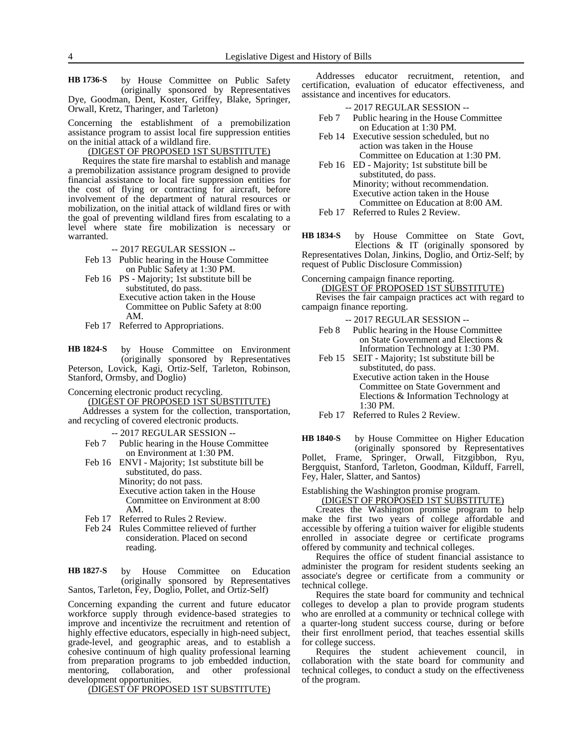by House Committee on Public Safety (originally sponsored by Representatives Dye, Goodman, Dent, Koster, Griffey, Blake, Springer, Orwall, Kretz, Tharinger, and Tarleton) **HB 1736-S**

Concerning the establishment of a premobilization assistance program to assist local fire suppression entities on the initial attack of a wildland fire.

#### (DIGEST OF PROPOSED 1ST SUBSTITUTE)

Requires the state fire marshal to establish and manage a premobilization assistance program designed to provide financial assistance to local fire suppression entities for the cost of flying or contracting for aircraft, before involvement of the department of natural resources or mobilization, on the initial attack of wildland fires or with the goal of preventing wildland fires from escalating to a level where state fire mobilization is necessary or warranted.

-- 2017 REGULAR SESSION --

- Feb 13 Public hearing in the House Committee on Public Safety at 1:30 PM.
- Feb 16 PS Majority; 1st substitute bill be substituted, do pass. Executive action taken in the House Committee on Public Safety at 8:00 AM.
- Feb 17 Referred to Appropriations.

by House Committee on Environment (originally sponsored by Representatives Peterson, Lovick, Kagi, Ortiz-Self, Tarleton, Robinson, Stanford, Ormsby, and Doglio) **HB 1824-S**

Concerning electronic product recycling.

(DIGEST OF PROPOSED 1ST SUBSTITUTE)

Addresses a system for the collection, transportation, and recycling of covered electronic products.

-- 2017 REGULAR SESSION --

- Feb 7 Public hearing in the House Committee on Environment at 1:30 PM.
- Feb 16 ENVI Majority; 1st substitute bill be substituted, do pass. Minority; do not pass. Executive action taken in the House Committee on Environment at 8:00 AM.
- Feb 17 Referred to Rules 2 Review.
- Feb 24 Rules Committee relieved of further consideration. Placed on second reading.

by House Committee on Education (originally sponsored by Representatives Santos, Tarleton, Fey, Doglio, Pollet, and Ortiz-Self) **HB 1827-S**

Concerning expanding the current and future educator workforce supply through evidence-based strategies to improve and incentivize the recruitment and retention of highly effective educators, especially in high-need subject, grade-level, and geographic areas, and to establish a cohesive continuum of high quality professional learning from preparation programs to job embedded induction, mentoring, collaboration, and other professional development opportunities.

(DIGEST OF PROPOSED 1ST SUBSTITUTE)

Addresses educator recruitment, retention, and certification, evaluation of educator effectiveness, and assistance and incentives for educators.

| $-2017$ REGULAR SESSION $-$          |
|--------------------------------------|
| h 7 Dublic hearing in the House Comp |

- Feb 7 Public hearing in the House Committee on Education at 1:30 PM.
- Feb 14 Executive session scheduled, but no action was taken in the House Committee on Education at 1:30 PM.
- Feb 16 ED Majority; 1st substitute bill be substituted, do pass. Minority; without recommendation. Executive action taken in the House Committee on Education at 8:00 AM.

Feb 17 Referred to Rules 2 Review.

by House Committee on State Govt, Elections & IT (originally sponsored by Representatives Dolan, Jinkins, Doglio, and Ortiz-Self; by request of Public Disclosure Commission) **HB 1834-S**

Concerning campaign finance reporting. (DIGEST OF PROPOSED 1ST SUBSTITUTE)

Revises the fair campaign practices act with regard to campaign finance reporting.

-- 2017 REGULAR SESSION --

- Feb 8 Public hearing in the House Committee on State Government and Elections & Information Technology at 1:30 PM.
- Feb 15 SEIT Majority; 1st substitute bill be substituted, do pass. Executive action taken in the House Committee on State Government and Elections & Information Technology at 1:30 PM.

Feb 17 Referred to Rules 2 Review.

by House Committee on Higher Education (originally sponsored by Representatives Pollet, Frame, Springer, Orwall, Fitzgibbon, Ryu, Bergquist, Stanford, Tarleton, Goodman, Kilduff, Farrell, Fey, Haler, Slatter, and Santos) **HB 1840-S**

#### Establishing the Washington promise program.

(DIGEST OF PROPOSED 1ST SUBSTITUTE)

Creates the Washington promise program to help make the first two years of college affordable and accessible by offering a tuition waiver for eligible students enrolled in associate degree or certificate programs offered by community and technical colleges.

Requires the office of student financial assistance to administer the program for resident students seeking an associate's degree or certificate from a community or technical college.

Requires the state board for community and technical colleges to develop a plan to provide program students who are enrolled at a community or technical college with a quarter-long student success course, during or before their first enrollment period, that teaches essential skills for college success.

Requires the student achievement council, in collaboration with the state board for community and technical colleges, to conduct a study on the effectiveness of the program.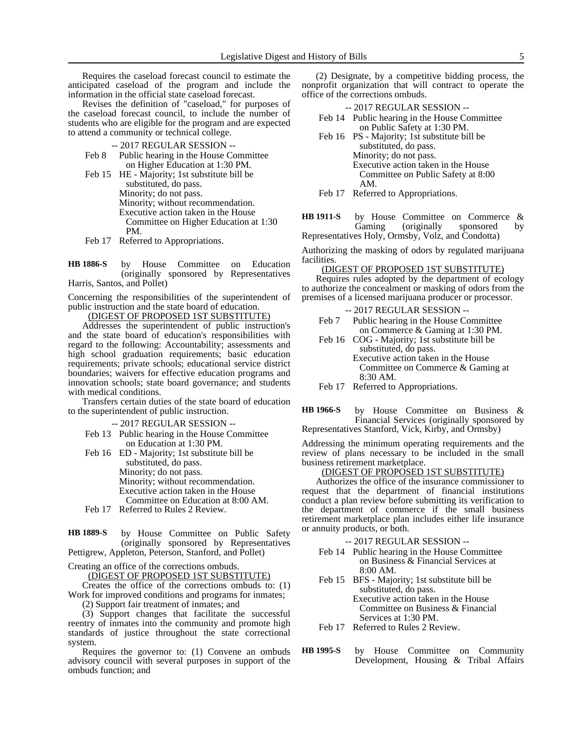Requires the caseload forecast council to estimate the anticipated caseload of the program and include the information in the official state caseload forecast.

Revises the definition of "caseload," for purposes of the caseload forecast council, to include the number of students who are eligible for the program and are expected to attend a community or technical college.

- -- 2017 REGULAR SESSION --
- Feb 8 Public hearing in the House Committee on Higher Education at 1:30 PM.
- Feb 15 HE Majority; 1st substitute bill be substituted, do pass. Minority; do not pass. Minority; without recommendation. Executive action taken in the House Committee on Higher Education at 1:30 PM.
- Feb 17 Referred to Appropriations.

by House Committee on Education (originally sponsored by Representatives Harris, Santos, and Pollet) **HB 1886-S**

Concerning the responsibilities of the superintendent of public instruction and the state board of education.

(DIGEST OF PROPOSED 1ST SUBSTITUTE)

Addresses the superintendent of public instruction's and the state board of education's responsibilities with regard to the following: Accountability; assessments and high school graduation requirements; basic education requirements; private schools; educational service district boundaries; waivers for effective education programs and innovation schools; state board governance; and students with medical conditions.

Transfers certain duties of the state board of education to the superintendent of public instruction.

-- 2017 REGULAR SESSION --

Feb 13 Public hearing in the House Committee on Education at 1:30 PM.

Feb 16 ED - Majority; 1st substitute bill be substituted, do pass. Minority; do not pass. Minority; without recommendation. Executive action taken in the House Committee on Education at 8:00 AM.

Feb 17 Referred to Rules 2 Review.

by House Committee on Public Safety (originally sponsored by Representatives Pettigrew, Appleton, Peterson, Stanford, and Pollet) **HB 1889-S**

Creating an office of the corrections ombuds.

(DIGEST OF PROPOSED 1ST SUBSTITUTE)

Creates the office of the corrections ombuds to: (1) Work for improved conditions and programs for inmates; (2) Support fair treatment of inmates; and

(3) Support changes that facilitate the successful reentry of inmates into the community and promote high standards of justice throughout the state correctional system.

Requires the governor to: (1) Convene an ombuds advisory council with several purposes in support of the ombuds function; and

(2) Designate, by a competitive bidding process, the nonprofit organization that will contract to operate the office of the corrections ombuds.

| --2017 REGULAR SESSION -- |                                              |  |  |  |
|---------------------------|----------------------------------------------|--|--|--|
|                           | Feb 14 Public hearing in the House Committee |  |  |  |
|                           | on Public Safety at 1:30 PM.                 |  |  |  |
|                           | Feb 16 PS - Majority; 1st substitute bill be |  |  |  |

substituted, do pass. Minority; do not pass. Executive action taken in the House Committee on Public Safety at 8:00 AM.

Feb 17 Referred to Appropriations.

by House Committee on Commerce & Gaming (originally sponsored by Representatives Holy, Ormsby, Volz, and Condotta) **HB 1911-S**

Authorizing the masking of odors by regulated marijuana facilities.

#### (DIGEST OF PROPOSED 1ST SUBSTITUTE)

Requires rules adopted by the department of ecology to authorize the concealment or masking of odors from the premises of a licensed marijuana producer or processor.

| -- 2017 REGULAR SESSION --                     |
|------------------------------------------------|
| Public hearing in the House Committee<br>Feb 7 |
| on Commerce & Gaming at 1:30 PM.               |
| Feb 16 COG - Majority; 1st substitute bill be  |
| substituted, do pass.                          |
| Executive action taken in the House            |
| Committee on Commerce & Gaming at              |
| 8:30 AM.                                       |
| Feb 17 Referred to Appropriations.             |
|                                                |

by House Committee on Business & Financial Services (originally sponsored by **HB 1966-S**

Representatives Stanford, Vick, Kirby, and Ormsby)

Addressing the minimum operating requirements and the review of plans necessary to be included in the small business retirement marketplace.

#### (DIGEST OF PROPOSED 1ST SUBSTITUTE)

Authorizes the office of the insurance commissioner to request that the department of financial institutions conduct a plan review before submitting its verification to the department of commerce if the small business retirement marketplace plan includes either life insurance or annuity products, or both.

- -- 2017 REGULAR SESSION --
- Feb 14 Public hearing in the House Committee on Business & Financial Services at 8:00 AM.
- Feb 15 BFS Majority; 1st substitute bill be substituted, do pass. Executive action taken in the House Committee on Business & Financial Services at 1:30 PM.
- Feb 17 Referred to Rules 2 Review.

by House Committee on Community Development, Housing & Tribal Affairs **HB 1995-S**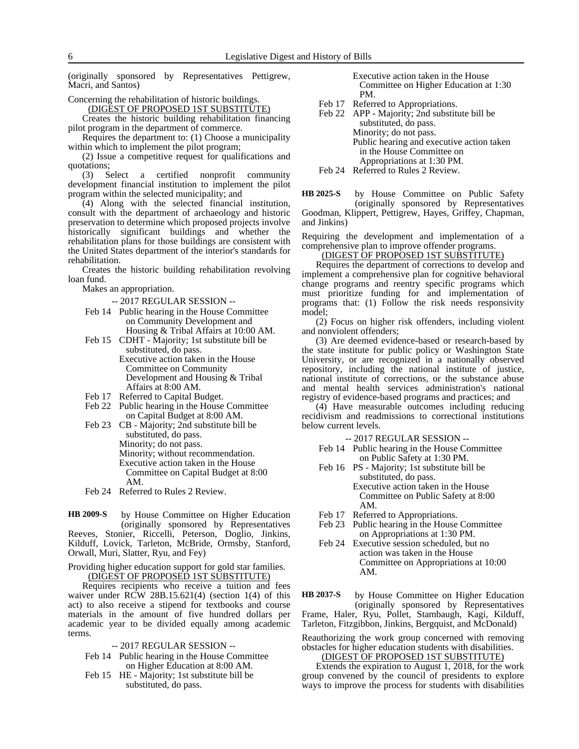(originally sponsored by Representatives Pettigrew, Macri, and Santos)

Concerning the rehabilitation of historic buildings.

(DIGEST OF PROPOSED 1ST SUBSTITUTE) Creates the historic building rehabilitation financing

pilot program in the department of commerce. Requires the department to: (1) Choose a municipality

within which to implement the pilot program; (2) Issue a competitive request for qualifications and

quotations; (3) Select a certified nonprofit community development financial institution to implement the pilot program within the selected municipality; and

(4) Along with the selected financial institution, consult with the department of archaeology and historic preservation to determine which proposed projects involve historically significant buildings and whether the rehabilitation plans for those buildings are consistent with the United States department of the interior's standards for rehabilitation.

Creates the historic building rehabilitation revolving loan fund.

Makes an appropriation.

-- 2017 REGULAR SESSION --

- Feb 14 Public hearing in the House Committee on Community Development and Housing & Tribal Affairs at 10:00 AM.
- Feb 15 CDHT Majority; 1st substitute bill be substituted, do pass. Executive action taken in the House Committee on Community Development and Housing & Tribal Affairs at 8:00 AM.
- Feb 17 Referred to Capital Budget.
- Feb 22 Public hearing in the House Committee on Capital Budget at 8:00 AM.
- Feb 23 CB Majority; 2nd substitute bill be substituted, do pass. Minority; do not pass. Minority; without recommendation. Executive action taken in the House Committee on Capital Budget at 8:00 AM.
- Feb 24 Referred to Rules 2 Review.

by House Committee on Higher Education (originally sponsored by Representatives Reeves, Stonier, Riccelli, Peterson, Doglio, Jinkins, Kilduff, Lovick, Tarleton, McBride, Ormsby, Stanford, Orwall, Muri, Slatter, Ryu, and Fey) **HB 2009-S**

Providing higher education support for gold star families. (DIGEST OF PROPOSED 1ST SUBSTITUTE)

Requires recipients who receive a tuition and fees waiver under RCW 28B.15.621(4) (section 1(4) of this act) to also receive a stipend for textbooks and course materials in the amount of five hundred dollars per academic year to be divided equally among academic terms.

-- 2017 REGULAR SESSION --

- Feb 14 Public hearing in the House Committee on Higher Education at 8:00 AM.
- Feb 15 HE Majority; 1st substitute bill be substituted, do pass.

Executive action taken in the House Committee on Higher Education at 1:30 PM.

- Feb 17 Referred to Appropriations.
- Feb 22 APP Majority; 2nd substitute bill be substituted, do pass. Minority; do not pass. Public hearing and executive action taken in the House Committee on Appropriations at 1:30 PM.

Feb 24 Referred to Rules 2 Review.

by House Committee on Public Safety (originally sponsored by Representatives Goodman, Klippert, Pettigrew, Hayes, Griffey, Chapman, **HB 2025-S**

and Jinkins) Requiring the development and implementation of a comprehensive plan to improve offender programs.

# (DIGEST OF PROPOSED 1ST SUBSTITUTE)

Requires the department of corrections to develop and implement a comprehensive plan for cognitive behavioral change programs and reentry specific programs which must prioritize funding for and implementation of programs that: (1) Follow the risk needs responsivity model;

(2) Focus on higher risk offenders, including violent and nonviolent offenders;

(3) Are deemed evidence-based or research-based by the state institute for public policy or Washington State University, or are recognized in a nationally observed repository, including the national institute of justice, national institute of corrections, or the substance abuse and mental health services administration's national registry of evidence-based programs and practices; and

(4) Have measurable outcomes including reducing recidivism and readmissions to correctional institutions below current levels.

-- 2017 REGULAR SESSION --

- Feb 14 Public hearing in the House Committee on Public Safety at 1:30 PM.
- Feb 16 PS Majority; 1st substitute bill be substituted, do pass. Executive action taken in the House Committee on Public Safety at 8:00 AM.
- Feb 17 Referred to Appropriations.
- Feb 23 Public hearing in the House Committee on Appropriations at 1:30 PM.
- Feb 24 Executive session scheduled, but no action was taken in the House Committee on Appropriations at 10:00 AM.

by House Committee on Higher Education (originally sponsored by Representatives Frame, Haler, Ryu, Pollet, Stambaugh, Kagi, Kilduff, Tarleton, Fitzgibbon, Jinkins, Bergquist, and McDonald) **HB 2037-S**

Reauthorizing the work group concerned with removing obstacles for higher education students with disabilities.

(DIGEST OF PROPOSED 1ST SUBSTITUTE)

Extends the expiration to August 1, 2018, for the work group convened by the council of presidents to explore ways to improve the process for students with disabilities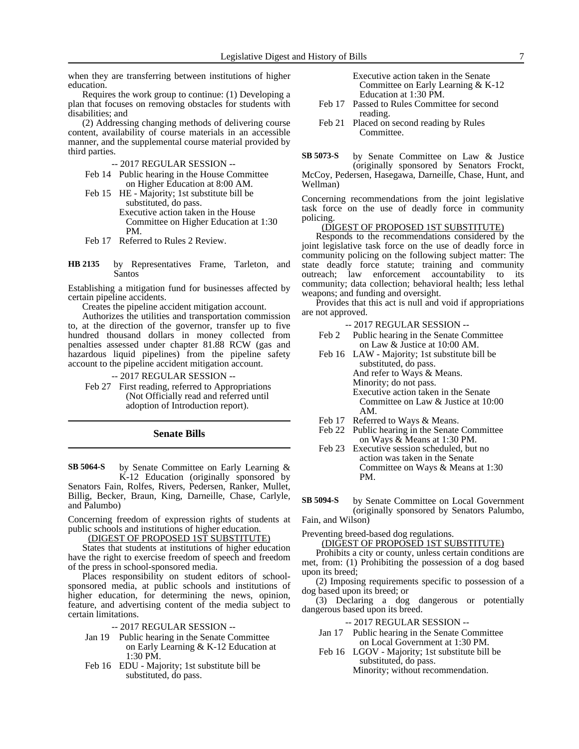when they are transferring between institutions of higher education.

Requires the work group to continue: (1) Developing a plan that focuses on removing obstacles for students with disabilities; and

(2) Addressing changing methods of delivering course content, availability of course materials in an accessible manner, and the supplemental course material provided by third parties.

-- 2017 REGULAR SESSION --

- Feb 14 Public hearing in the House Committee on Higher Education at 8:00 AM.
- Feb 15 HE Majority; 1st substitute bill be substituted, do pass. Executive action taken in the House Committee on Higher Education at 1:30 PM.
- Feb 17 Referred to Rules 2 Review.
- by Representatives Frame, Tarleton, and Santos **HB 2135**

Establishing a mitigation fund for businesses affected by certain pipeline accidents.

Creates the pipeline accident mitigation account.

Authorizes the utilities and transportation commission to, at the direction of the governor, transfer up to five hundred thousand dollars in money collected from penalties assessed under chapter 81.88 RCW (gas and hazardous liquid pipelines) from the pipeline safety account to the pipeline accident mitigation account.

-- 2017 REGULAR SESSION --

Feb 27 First reading, referred to Appropriations (Not Officially read and referred until adoption of Introduction report).

#### **Senate Bills**

by Senate Committee on Early Learning & **SB 5064-S**

K-12 Education (originally sponsored by Senators Fain, Rolfes, Rivers, Pedersen, Ranker, Mullet, Billig, Becker, Braun, King, Darneille, Chase, Carlyle, and Palumbo)

Concerning freedom of expression rights of students at public schools and institutions of higher education.

(DIGEST OF PROPOSED 1ST SUBSTITUTE)

States that students at institutions of higher education have the right to exercise freedom of speech and freedom of the press in school-sponsored media.

Places responsibility on student editors of schoolsponsored media, at public schools and institutions of higher education, for determining the news, opinion, feature, and advertising content of the media subject to certain limitations.

-- 2017 REGULAR SESSION --

- Jan 19 Public hearing in the Senate Committee on Early Learning & K-12 Education at 1:30 PM.
- Feb 16 EDU Majority; 1st substitute bill be substituted, do pass.

Executive action taken in the Senate Committee on Early Learning & K-12 Education at 1:30 PM.

- Feb 17 Passed to Rules Committee for second reading.
- Feb 21 Placed on second reading by Rules Committee.

by Senate Committee on Law & Justice (originally sponsored by Senators Frockt, McCoy, Pedersen, Hasegawa, Darneille, Chase, Hunt, and Wellman) **SB 5073-S**

Concerning recommendations from the joint legislative task force on the use of deadly force in community policing.

#### (DIGEST OF PROPOSED 1ST SUBSTITUTE)

Responds to the recommendations considered by the joint legislative task force on the use of deadly force in community policing on the following subject matter: The state deadly force statute; training and community outreach; law enforcement accountability to its community; data collection; behavioral health; less lethal weapons; and funding and oversight.

Provides that this act is null and void if appropriations are not approved.

- -- 2017 REGULAR SESSION --
- Feb 2 Public hearing in the Senate Committee on Law & Justice at 10:00 AM.
- Feb 16 LAW Majority; 1st substitute bill be substituted, do pass. And refer to Ways & Means. Minority; do not pass. Executive action taken in the Senate Committee on Law & Justice at 10:00 AM.
- Feb 17 Referred to Ways & Means.
- Feb 22 Public hearing in the Senate Committee on Ways & Means at 1:30 PM.
- Feb 23 Executive session scheduled, but no action was taken in the Senate Committee on Ways & Means at 1:30 PM.
- by Senate Committee on Local Government (originally sponsored by Senators Palumbo, **SB 5094-S**

Fain, and Wilson)

Preventing breed-based dog regulations.

(DIGEST OF PROPOSED 1ST SUBSTITUTE)

Prohibits a city or county, unless certain conditions are met, from: (1) Prohibiting the possession of a dog based upon its breed;

(2) Imposing requirements specific to possession of a dog based upon its breed; or

(3) Declaring a dog dangerous or potentially dangerous based upon its breed.

-- 2017 REGULAR SESSION --

- Jan 17 Public hearing in the Senate Committee on Local Government at 1:30 PM.
- Feb 16 LGOV Majority; 1st substitute bill be substituted, do pass. Minority; without recommendation.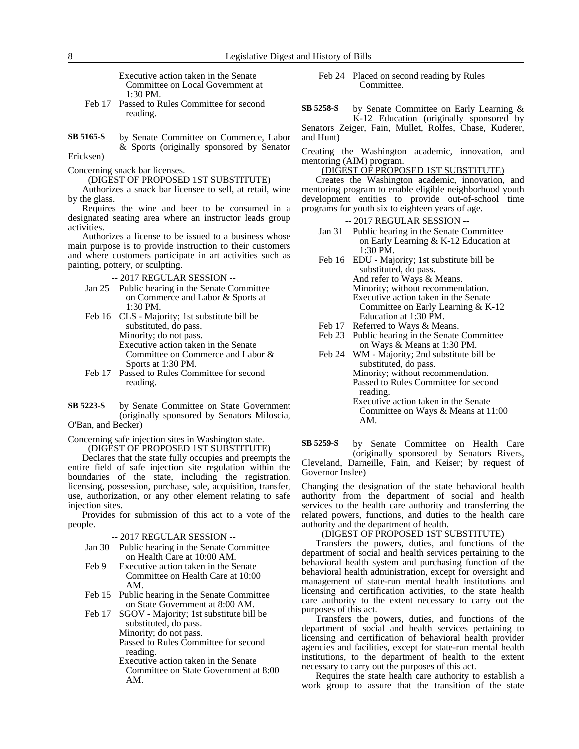Executive action taken in the Senate Committee on Local Government at 1:30 PM.

- Feb 17 Passed to Rules Committee for second reading.
- by Senate Committee on Commerce, Labor & Sports (originally sponsored by Senator **SB 5165-S**

Ericksen)

Concerning snack bar licenses.

(DIGEST OF PROPOSED 1ST SUBSTITUTE)

Authorizes a snack bar licensee to sell, at retail, wine by the glass.

Requires the wine and beer to be consumed in a designated seating area where an instructor leads group activities.

Authorizes a license to be issued to a business whose main purpose is to provide instruction to their customers and where customers participate in art activities such as painting, pottery, or sculpting.

- -- 2017 REGULAR SESSION --
- Jan 25 Public hearing in the Senate Committee on Commerce and Labor & Sports at 1:30 PM.
- Feb 16 CLS Majority; 1st substitute bill be substituted, do pass. Minority; do not pass. Executive action taken in the Senate Committee on Commerce and Labor & Sports at 1:30 PM.
- Feb 17 Passed to Rules Committee for second reading.
- by Senate Committee on State Government (originally sponsored by Senators Miloscia, O'Ban, and Becker) **SB 5223-S**

Concerning safe injection sites in Washington state. (DIGEST OF PROPOSED 1ST SUBSTITUTE)

Declares that the state fully occupies and preempts the entire field of safe injection site regulation within the boundaries of the state, including the registration, licensing, possession, purchase, sale, acquisition, transfer, use, authorization, or any other element relating to safe injection sites.

Provides for submission of this act to a vote of the people.

- -- 2017 REGULAR SESSION --
- Jan 30 Public hearing in the Senate Committee on Health Care at 10:00 AM.
- Feb 9 Executive action taken in the Senate Committee on Health Care at 10:00 AM.
- Feb 15 Public hearing in the Senate Committee on State Government at 8:00 AM.
- Feb 17 SGOV Majority; 1st substitute bill be substituted, do pass.

Minority; do not pass.

Passed to Rules Committee for second reading.

Executive action taken in the Senate Committee on State Government at 8:00 AM.

Feb 24 Placed on second reading by Rules Committee.

by Senate Committee on Early Learning & K-12 Education (originally sponsored by Senators Zeiger, Fain, Mullet, Rolfes, Chase, Kuderer, and Hunt) **SB 5258-S**

Creating the Washington academic, innovation, and mentoring (AIM) program.

(DIGEST OF PROPOSED 1ST SUBSTITUTE)

Creates the Washington academic, innovation, and mentoring program to enable eligible neighborhood youth development entities to provide out-of-school time programs for youth six to eighteen years of age.

-- 2017 REGULAR SESSION --

- Jan 31 Public hearing in the Senate Committee on Early Learning & K-12 Education at 1:30 PM.
- Feb 16 EDU Majority; 1st substitute bill be substituted, do pass. And refer to Ways & Means. Minority; without recommendation. Executive action taken in the Senate Committee on Early Learning & K-12 Education at 1:30 PM.
- Feb 17 Referred to Ways & Means.<br>Feb 23 Public hearing in the Senate
- Public hearing in the Senate Committee on Ways & Means at 1:30 PM.
- Feb 24 WM Majority; 2nd substitute bill be substituted, do pass. Minority; without recommendation. Passed to Rules Committee for second reading.
	- Executive action taken in the Senate Committee on Ways & Means at 11:00 AM.

by Senate Committee on Health Care (originally sponsored by Senators Rivers, Cleveland, Darneille, Fain, and Keiser; by request of **SB 5259-S**

Governor Inslee)

Changing the designation of the state behavioral health authority from the department of social and health services to the health care authority and transferring the related powers, functions, and duties to the health care authority and the department of health.

#### (DIGEST OF PROPOSED 1ST SUBSTITUTE)

Transfers the powers, duties, and functions of the department of social and health services pertaining to the behavioral health system and purchasing function of the behavioral health administration, except for oversight and management of state-run mental health institutions and licensing and certification activities, to the state health care authority to the extent necessary to carry out the purposes of this act.

Transfers the powers, duties, and functions of the department of social and health services pertaining to licensing and certification of behavioral health provider agencies and facilities, except for state-run mental health institutions, to the department of health to the extent necessary to carry out the purposes of this act.

Requires the state health care authority to establish a work group to assure that the transition of the state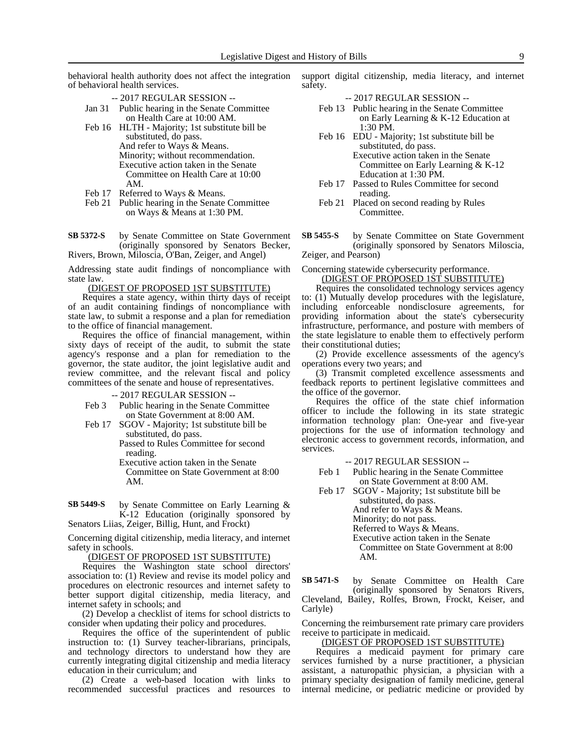behavioral health authority does not affect the integration of behavioral health services.

- -- 2017 REGULAR SESSION --
- Jan 31 Public hearing in the Senate Committee on Health Care at 10:00 AM.
- Feb 16 HLTH Majority; 1st substitute bill be substituted, do pass. And refer to Ways & Means. Minority; without recommendation. Executive action taken in the Senate Committee on Health Care at 10:00 AM.
- Feb 17 Referred to Ways & Means.
- Feb 21 Public hearing in the Senate Committee on Ways & Means at 1:30 PM.
- by Senate Committee on State Government (originally sponsored by Senators Becker, Rivers, Brown, Miloscia, O'Ban, Zeiger, and Angel) **SB 5372-S**

Addressing state audit findings of noncompliance with state law.

(DIGEST OF PROPOSED 1ST SUBSTITUTE)

Requires a state agency, within thirty days of receipt of an audit containing findings of noncompliance with state law, to submit a response and a plan for remediation to the office of financial management.

Requires the office of financial management, within sixty days of receipt of the audit, to submit the state agency's response and a plan for remediation to the governor, the state auditor, the joint legislative audit and review committee, and the relevant fiscal and policy committees of the senate and house of representatives.

-- 2017 REGULAR SESSION --

- Feb 3 Public hearing in the Senate Committee on State Government at 8:00 AM.
- Feb 17 SGOV Majority; 1st substitute bill be substituted, do pass.

Passed to Rules Committee for second reading.

Executive action taken in the Senate Committee on State Government at 8:00 AM.

by Senate Committee on Early Learning & K-12 Education (originally sponsored by Senators Liias, Zeiger, Billig, Hunt, and Frockt) **SB 5449-S**

Concerning digital citizenship, media literacy, and internet safety in schools.

(DIGEST OF PROPOSED 1ST SUBSTITUTE)

Requires the Washington state school directors' association to: (1) Review and revise its model policy and procedures on electronic resources and internet safety to better support digital citizenship, media literacy, and internet safety in schools; and

(2) Develop a checklist of items for school districts to consider when updating their policy and procedures.

Requires the office of the superintendent of public instruction to: (1) Survey teacher-librarians, principals, and technology directors to understand how they are currently integrating digital citizenship and media literacy education in their curriculum; and

(2) Create a web-based location with links to recommended successful practices and resources to support digital citizenship, media literacy, and internet safety.

-- 2017 REGULAR SESSION --

- Feb 13 Public hearing in the Senate Committee on Early Learning & K-12 Education at 1:30 PM.
- Feb 16 EDU Majority; 1st substitute bill be substituted, do pass. Executive action taken in the Senate Committee on Early Learning & K-12 Education at 1:30 PM.
- Feb 17 Passed to Rules Committee for second reading.
- Feb 21 Placed on second reading by Rules Committee.
- by Senate Committee on State Government (originally sponsored by Senators Miloscia, Zeiger, and Pearson) **SB 5455-S**

Concerning statewide cybersecurity performance.

(DIGEST OF PROPOSED 1ST SUBSTITUTE)

Requires the consolidated technology services agency to: (1) Mutually develop procedures with the legislature, including enforceable nondisclosure agreements, for providing information about the state's cybersecurity infrastructure, performance, and posture with members of the state legislature to enable them to effectively perform their constitutional duties;

(2) Provide excellence assessments of the agency's operations every two years; and

(3) Transmit completed excellence assessments and feedback reports to pertinent legislative committees and the office of the governor.

Requires the office of the state chief information officer to include the following in its state strategic information technology plan: One-year and five-year projections for the use of information technology and electronic access to government records, information, and services.

-- 2017 REGULAR SESSION --

- Feb 1 Public hearing in the Senate Committee on State Government at 8:00 AM.
- Feb 17 SGOV Majority; 1st substitute bill be substituted, do pass.

And refer to Ways & Means. Minority; do not pass. Referred to Ways & Means. Executive action taken in the Senate Committee on State Government at 8:00 AM.

by Senate Committee on Health Care (originally sponsored by Senators Rivers, Cleveland, Bailey, Rolfes, Brown, Frockt, Keiser, and Carlyle) **SB 5471-S**

Concerning the reimbursement rate primary care providers receive to participate in medicaid.

# (DIGEST OF PROPOSED 1ST SUBSTITUTE)

Requires a medicaid payment for primary care services furnished by a nurse practitioner, a physician assistant, a naturopathic physician, a physician with a primary specialty designation of family medicine, general internal medicine, or pediatric medicine or provided by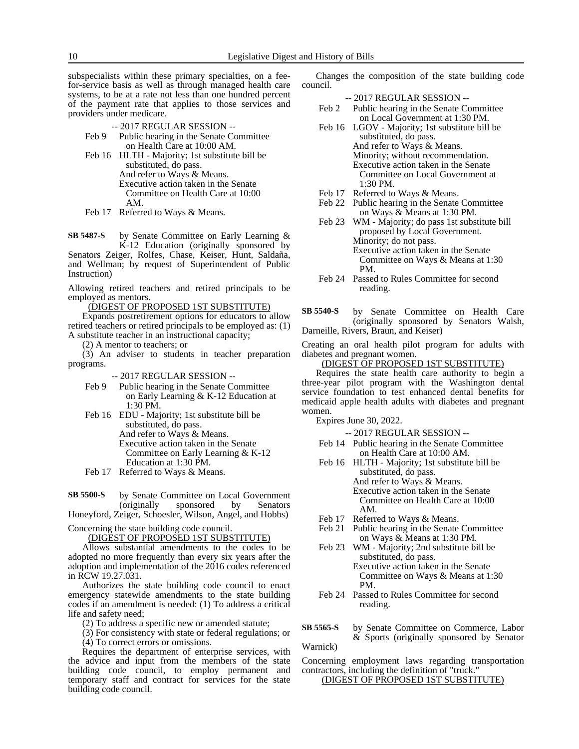subspecialists within these primary specialties, on a feefor-service basis as well as through managed health care systems, to be at a rate not less than one hundred percent of the payment rate that applies to those services and providers under medicare.

-- 2017 REGULAR SESSION --

- Feb 9 Public hearing in the Senate Committee on Health Care at 10:00 AM.
- Feb 16 HLTH Majority; 1st substitute bill be substituted, do pass. And refer to Ways & Means. Executive action taken in the Senate Committee on Health Care at 10:00 AM.
- Feb 17 Referred to Ways & Means.

by Senate Committee on Early Learning & K-12 Education (originally sponsored by Senators Zeiger, Rolfes, Chase, Keiser, Hunt, Saldaña, and Wellman; by request of Superintendent of Public Instruction) **SB 5487-S**

Allowing retired teachers and retired principals to be employed as mentors.

(DIGEST OF PROPOSED 1ST SUBSTITUTE)

Expands postretirement options for educators to allow retired teachers or retired principals to be employed as: (1) A substitute teacher in an instructional capacity;

(2) A mentor to teachers; or

(3) An adviser to students in teacher preparation programs.

-- 2017 REGULAR SESSION --

- Feb 9 Public hearing in the Senate Committee on Early Learning & K-12 Education at 1:30 PM.
- Feb 16 EDU Majority; 1st substitute bill be substituted, do pass. And refer to Ways & Means.
	- Executive action taken in the Senate Committee on Early Learning & K-12 Education at 1:30 PM.
- Feb 17 Referred to Ways & Means.

by Senate Committee on Local Government<br>
(originally sponsored by Senators sponsored by **SB 5500-S**

Honeyford, Zeiger, Schoesler, Wilson, Angel, and Hobbs)

Concerning the state building code council.

(DIGEST OF PROPOSED 1ST SUBSTITUTE)

Allows substantial amendments to the codes to be adopted no more frequently than every six years after the adoption and implementation of the 2016 codes referenced in RCW 19.27.031.

Authorizes the state building code council to enact emergency statewide amendments to the state building codes if an amendment is needed: (1) To address a critical life and safety need;

(2) To address a specific new or amended statute;

(3) For consistency with state or federal regulations; or (4) To correct errors or omissions.

Requires the department of enterprise services, with the advice and input from the members of the state building code council, to employ permanent and temporary staff and contract for services for the state building code council.

Changes the composition of the state building code council.

-- 2017 REGULAR SESSION --

- Feb 2 Public hearing in the Senate Committee on Local Government at 1:30 PM.
- Feb 16 LGOV Majority; 1st substitute bill be substituted, do pass. And refer to Ways & Means. Minority; without recommendation. Executive action taken in the Senate Committee on Local Government at 1:30 PM.
- Feb 17 Referred to Ways & Means.
- Feb 22 Public hearing in the Senate Committee on Ways & Means at 1:30 PM.
- Feb 23 WM Majority; do pass 1st substitute bill proposed by Local Government. Minority; do not pass. Executive action taken in the Senate Committee on Ways & Means at 1:30
- PM. Feb 24 Passed to Rules Committee for second reading.

by Senate Committee on Health Care (originally sponsored by Senators Walsh, Darneille, Rivers, Braun, and Keiser) **SB 5540-S**

Creating an oral health pilot program for adults with diabetes and pregnant women.

#### (DIGEST OF PROPOSED 1ST SUBSTITUTE)

Requires the state health care authority to begin a three-year pilot program with the Washington dental service foundation to test enhanced dental benefits for medicaid apple health adults with diabetes and pregnant women.

Expires June 30, 2022.

- -- 2017 REGULAR SESSION -- Feb 14 Public hearing in the Senate Committee
- on Health Care at 10:00 AM. Feb 16 HLTH - Majority; 1st substitute bill be

substituted, do pass. And refer to Ways & Means. Executive action taken in the Senate Committee on Health Care at 10:00 AM.

- Feb 17 Referred to Ways & Means.
- Feb 21 Public hearing in the Senate Committee on Ways & Means at 1:30 PM.
- Feb 23 WM Majority; 2nd substitute bill be substituted, do pass. Executive action taken in the Senate
	- Committee on Ways & Means at 1:30 PM.
- Feb 24 Passed to Rules Committee for second reading.

#### by Senate Committee on Commerce, Labor & Sports (originally sponsored by Senator **SB 5565-S**

Warnick)

Concerning employment laws regarding transportation contractors, including the definition of "truck."

(DIGEST OF PROPOSED 1ST SUBSTITUTE)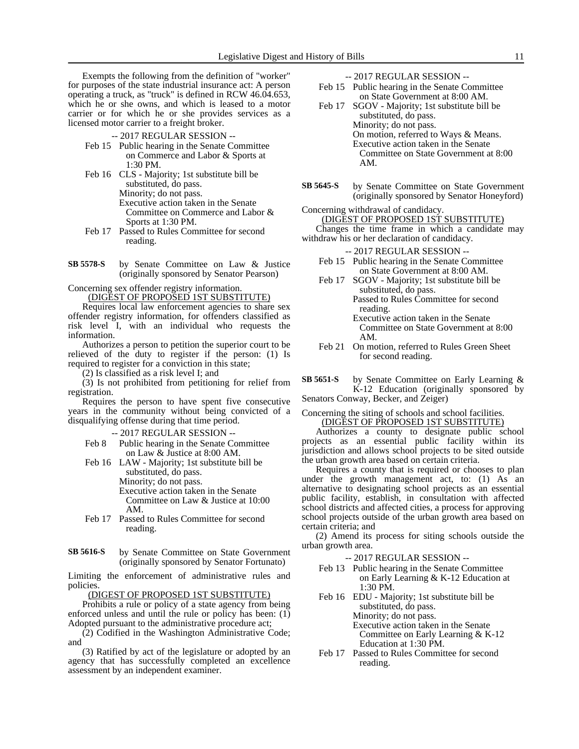Exempts the following from the definition of "worker" for purposes of the state industrial insurance act: A person operating a truck, as "truck" is defined in RCW 46.04.653, which he or she owns, and which is leased to a motor carrier or for which he or she provides services as a licensed motor carrier to a freight broker.

-- 2017 REGULAR SESSION --

- Feb 15 Public hearing in the Senate Committee on Commerce and Labor & Sports at 1:30 PM.
- Feb 16 CLS Majority; 1st substitute bill be substituted, do pass. Minority; do not pass. Executive action taken in the Senate Committee on Commerce and Labor & Sports at 1:30 PM.
- Feb 17 Passed to Rules Committee for second reading.
- by Senate Committee on Law & Justice (originally sponsored by Senator Pearson) **SB 5578-S**

Concerning sex offender registry information.

(DIGEST OF PROPOSED 1ST SUBSTITUTE)

Requires local law enforcement agencies to share sex offender registry information, for offenders classified as risk level I, with an individual who requests the information.

Authorizes a person to petition the superior court to be relieved of the duty to register if the person: (1) Is required to register for a conviction in this state;

(2) Is classified as a risk level I; and

(3) Is not prohibited from petitioning for relief from registration.

Requires the person to have spent five consecutive years in the community without being convicted of a disqualifying offense during that time period.

-- 2017 REGULAR SESSION --

Feb 8 Public hearing in the Senate Committee on Law & Justice at 8:00 AM.

Feb 16 LAW - Majority; 1st substitute bill be substituted, do pass. Minority; do not pass. Executive action taken in the Senate Committee on Law & Justice at 10:00 AM.

- Feb 17 Passed to Rules Committee for second reading.
- by Senate Committee on State Government (originally sponsored by Senator Fortunato) **SB 5616-S**

Limiting the enforcement of administrative rules and policies.

(DIGEST OF PROPOSED 1ST SUBSTITUTE)

Prohibits a rule or policy of a state agency from being enforced unless and until the rule or policy has been: (1) Adopted pursuant to the administrative procedure act;

 $(2)$  Codified in the Washington Administrative Code; and

(3) Ratified by act of the legislature or adopted by an agency that has successfully completed an excellence assessment by an independent examiner.

-- 2017 REGULAR SESSION --

- Feb 15 Public hearing in the Senate Committee on State Government at 8:00 AM.
- Feb 17 SGOV Majority; 1st substitute bill be substituted, do pass. Minority; do not pass. On motion, referred to Ways & Means. Executive action taken in the Senate Committee on State Government at 8:00 AM.
- by Senate Committee on State Government (originally sponsored by Senator Honeyford) **SB 5645-S**

Concerning withdrawal of candidacy.

(DIGEST OF PROPOSED 1ST SUBSTITUTE)

Changes the time frame in which a candidate may withdraw his or her declaration of candidacy.

-- 2017 REGULAR SESSION --

- Feb 15 Public hearing in the Senate Committee on State Government at 8:00 AM.
- Feb 17 SGOV Majority; 1st substitute bill be substituted, do pass. Passed to Rules Committee for second reading.

Executive action taken in the Senate Committee on State Government at 8:00 AM.

Feb 21 On motion, referred to Rules Green Sheet for second reading.

by Senate Committee on Early Learning & K-12 Education (originally sponsored by **SB 5651-S**

Senators Conway, Becker, and Zeiger)

#### Concerning the siting of schools and school facilities. (DIGEST OF PROPOSED 1ST SUBSTITUTE)

Authorizes a county to designate public school projects as an essential public facility within its jurisdiction and allows school projects to be sited outside the urban growth area based on certain criteria.

Requires a county that is required or chooses to plan under the growth management act, to: (1) As an alternative to designating school projects as an essential public facility, establish, in consultation with affected school districts and affected cities, a process for approving school projects outside of the urban growth area based on certain criteria; and

(2) Amend its process for siting schools outside the urban growth area.

- -- 2017 REGULAR SESSION --
- Feb 13 Public hearing in the Senate Committee on Early Learning & K-12 Education at 1:30 PM.
- Feb 16 EDU Majority; 1st substitute bill be substituted, do pass. Minority; do not pass. Executive action taken in the Senate Committee on Early Learning & K-12

Education at 1:30 PM. Feb 17 Passed to Rules Committee for second reading.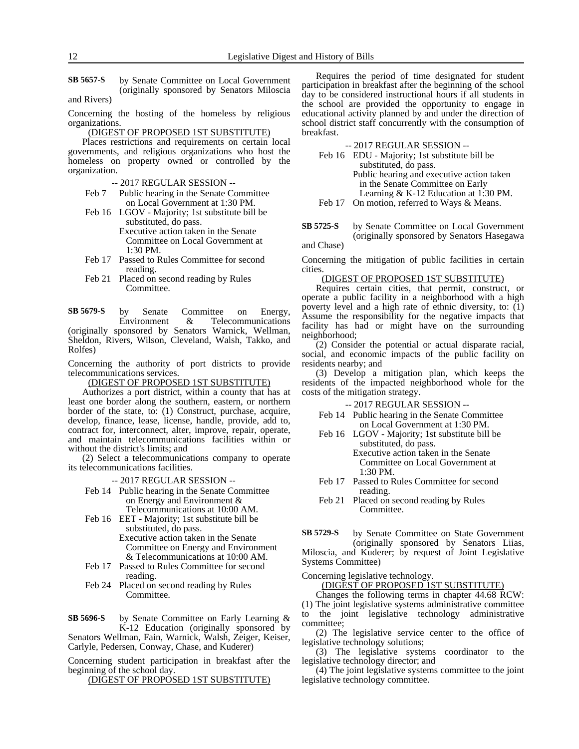by Senate Committee on Local Government (originally sponsored by Senators Miloscia and Rivers) **SB 5657-S**

Concerning the hosting of the homeless by religious organizations.

(DIGEST OF PROPOSED 1ST SUBSTITUTE)

Places restrictions and requirements on certain local governments, and religious organizations who host the homeless on property owned or controlled by the organization.

- -- 2017 REGULAR SESSION --
- Feb 7 Public hearing in the Senate Committee on Local Government at 1:30 PM.
- Feb 16 LGOV Majority; 1st substitute bill be substituted, do pass. Executive action taken in the Senate Committee on Local Government at 1:30 PM.
- Feb 17 Passed to Rules Committee for second reading.
- Feb 21 Placed on second reading by Rules Committee.

by Senate Committee on Energy, Environment & Telecommunications (originally sponsored by Senators Warnick, Wellman, Sheldon, Rivers, Wilson, Cleveland, Walsh, Takko, and Rolfes) **SB 5679-S**

Concerning the authority of port districts to provide telecommunications services.

(DIGEST OF PROPOSED 1ST SUBSTITUTE)

Authorizes a port district, within a county that has at least one border along the southern, eastern, or northern border of the state, to: (1) Construct, purchase, acquire, develop, finance, lease, license, handle, provide, add to, contract for, interconnect, alter, improve, repair, operate, and maintain telecommunications facilities within or without the district's limits; and

(2) Select a telecommunications company to operate its telecommunications facilities.

-- 2017 REGULAR SESSION --

- Feb 14 Public hearing in the Senate Committee on Energy and Environment & Telecommunications at 10:00 AM.
- Feb 16 EET Majority; 1st substitute bill be substituted, do pass.
	- Executive action taken in the Senate Committee on Energy and Environment & Telecommunications at 10:00 AM.
- Feb 17 Passed to Rules Committee for second reading.
- Feb 24 Placed on second reading by Rules Committee.
- by Senate Committee on Early Learning & K-12 Education (originally sponsored by Senators Wellman, Fain, Warnick, Walsh, Zeiger, Keiser, Carlyle, Pedersen, Conway, Chase, and Kuderer) **SB 5696-S**

Concerning student participation in breakfast after the beginning of the school day.

(DIGEST OF PROPOSED 1ST SUBSTITUTE)

Requires the period of time designated for student participation in breakfast after the beginning of the school day to be considered instructional hours if all students in the school are provided the opportunity to engage in educational activity planned by and under the direction of school district staff concurrently with the consumption of breakfast.

-- 2017 REGULAR SESSION --

|        | Feb 16 EDU - Majority; 1st substitute bill be |
|--------|-----------------------------------------------|
|        | substituted, do pass.                         |
|        | Public hearing and executive action taken     |
|        | in the Senate Committee on Early              |
|        | Learning & K-12 Education at $1:30$ PM.       |
| Feb 17 | On motion, referred to Ways & Means.          |

by Senate Committee on Local Government (originally sponsored by Senators Hasegawa **SB 5725-S**

and Chase)

Concerning the mitigation of public facilities in certain cities.

(DIGEST OF PROPOSED 1ST SUBSTITUTE)

Requires certain cities, that permit, construct, or operate a public facility in a neighborhood with a high poverty level and a high rate of ethnic diversity, to: (1) Assume the responsibility for the negative impacts that facility has had or might have on the surrounding neighborhood;

(2) Consider the potential or actual disparate racial, social, and economic impacts of the public facility on residents nearby; and

(3) Develop a mitigation plan, which keeps the residents of the impacted neighborhood whole for the costs of the mitigation strategy.

-- 2017 REGULAR SESSION --

- Feb 14 Public hearing in the Senate Committee on Local Government at 1:30 PM.
- Feb 16 LGOV Majority; 1st substitute bill be substituted, do pass. Executive action taken in the Senate Committee on Local Government at 1:30 PM.
- Feb 17 Passed to Rules Committee for second reading.
- Feb 21 Placed on second reading by Rules Committee.

by Senate Committee on State Government (originally sponsored by Senators Liias, Miloscia, and Kuderer; by request of Joint Legislative Systems Committee) **SB 5729-S**

Concerning legislative technology.

(DIGEST OF PROPOSED 1ST SUBSTITUTE)

Changes the following terms in chapter 44.68 RCW: (1) The joint legislative systems administrative committee to the joint legislative technology administrative committee;

(2) The legislative service center to the office of legislative technology solutions;

(3) The legislative systems coordinator to the legislative technology director; and

(4) The joint legislative systems committee to the joint legislative technology committee.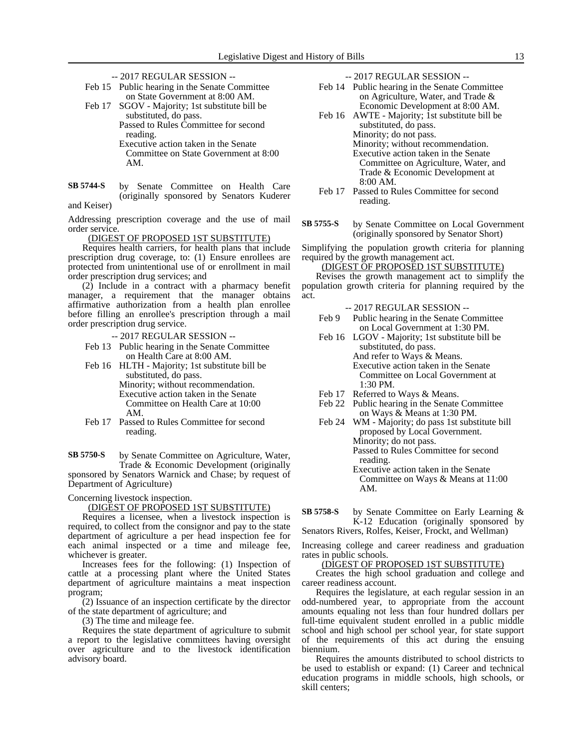-- 2017 REGULAR SESSION --

- Feb 15 Public hearing in the Senate Committee on State Government at 8:00 AM.
- Feb 17 SGOV Majority; 1st substitute bill be substituted, do pass.

Passed to Rules Committee for second reading. Executive action taken in the Senate Committee on State Government at 8:00 AM.

by Senate Committee on Health Care (originally sponsored by Senators Kuderer and Keiser) **SB 5744-S**

Addressing prescription coverage and the use of mail order service.

(DIGEST OF PROPOSED 1ST SUBSTITUTE)

Requires health carriers, for health plans that include prescription drug coverage, to: (1) Ensure enrollees are protected from unintentional use of or enrollment in mail order prescription drug services; and

(2) Include in a contract with a pharmacy benefit manager, a requirement that the manager obtains affirmative authorization from a health plan enrollee before filling an enrollee's prescription through a mail order prescription drug service.

-- 2017 REGULAR SESSION --

- Feb 13 Public hearing in the Senate Committee on Health Care at 8:00 AM.
- Feb 16 HLTH Majority; 1st substitute bill be substituted, do pass. Minority; without recommendation. Executive action taken in the Senate

Committee on Health Care at 10:00 AM.

Feb 17 Passed to Rules Committee for second reading.

by Senate Committee on Agriculture, Water, Trade & Economic Development (originally sponsored by Senators Warnick and Chase; by request of Department of Agriculture) **SB 5750-S**

Concerning livestock inspection.

#### (DIGEST OF PROPOSED 1ST SUBSTITUTE)

Requires a licensee, when a livestock inspection is required, to collect from the consignor and pay to the state department of agriculture a per head inspection fee for each animal inspected or a time and mileage fee, whichever is greater.

Increases fees for the following: (1) Inspection of cattle at a processing plant where the United States department of agriculture maintains a meat inspection program;

(2) Issuance of an inspection certificate by the director of the state department of agriculture; and

(3) The time and mileage fee.

Requires the state department of agriculture to submit a report to the legislative committees having oversight over agriculture and to the livestock identification advisory board.

-- 2017 REGULAR SESSION --

- Feb 14 Public hearing in the Senate Committee on Agriculture, Water, and Trade & Economic Development at 8:00 AM.
- Feb 16 AWTE Majority; 1st substitute bill be substituted, do pass. Minority; do not pass. Minority; without recommendation. Executive action taken in the Senate Committee on Agriculture, Water, and Trade & Economic Development at 8:00 AM.
- Feb 17 Passed to Rules Committee for second reading.
- by Senate Committee on Local Government (originally sponsored by Senator Short) **SB 5755-S**

Simplifying the population growth criteria for planning required by the growth management act.

#### (DIGEST OF PROPOSED 1ST SUBSTITUTE)

Revises the growth management act to simplify the population growth criteria for planning required by the act.

- -- 2017 REGULAR SESSION --
- Feb 9 Public hearing in the Senate Committee on Local Government at 1:30 PM.
- Feb 16 LGOV Majority; 1st substitute bill be substituted, do pass. And refer to Ways & Means. Executive action taken in the Senate Committee on Local Government at 1:30 PM.
- Feb 17 Referred to Ways & Means.
- Feb 22 Public hearing in the Senate Committee on Ways & Means at 1:30 PM.
- Feb 24 WM Majority; do pass 1st substitute bill proposed by Local Government. Minority; do not pass. Passed to Rules Committee for second reading. Executive action taken in the Senate

Committee on Ways & Means at 11:00 AM.

by Senate Committee on Early Learning & K-12 Education (originally sponsored by **SB 5758-S**

Senators Rivers, Rolfes, Keiser, Frockt, and Wellman)

Increasing college and career readiness and graduation rates in public schools.

(DIGEST OF PROPOSED 1ST SUBSTITUTE)

Creates the high school graduation and college and career readiness account.

Requires the legislature, at each regular session in an odd-numbered year, to appropriate from the account amounts equaling not less than four hundred dollars per full-time equivalent student enrolled in a public middle school and high school per school year, for state support of the requirements of this act during the ensuing biennium.

Requires the amounts distributed to school districts to be used to establish or expand: (1) Career and technical education programs in middle schools, high schools, or skill centers;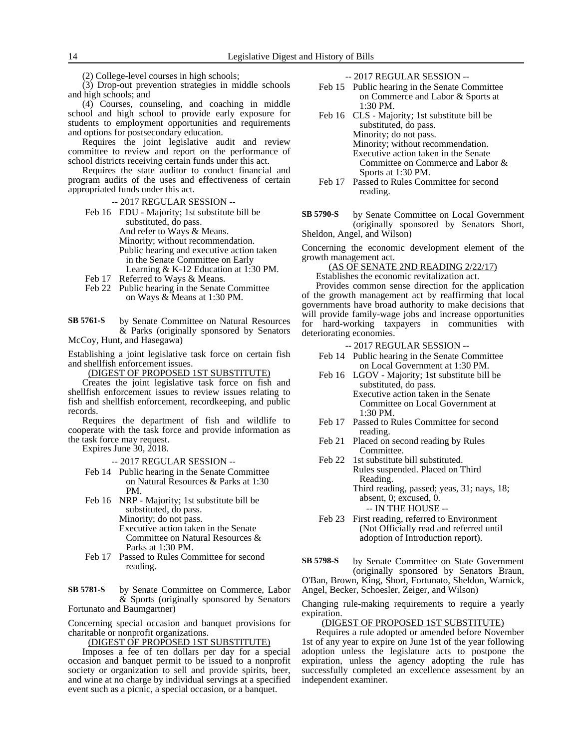(2) College-level courses in high schools;

(3) Drop-out prevention strategies in middle schools and high schools; and

(4) Courses, counseling, and coaching in middle school and high school to provide early exposure for students to employment opportunities and requirements and options for postsecondary education.

Requires the joint legislative audit and review committee to review and report on the performance of school districts receiving certain funds under this act.

Requires the state auditor to conduct financial and program audits of the uses and effectiveness of certain appropriated funds under this act.

-- 2017 REGULAR SESSION --

- Feb 16 EDU Majority; 1st substitute bill be substituted, do pass. And refer to Ways & Means. Minority; without recommendation. Public hearing and executive action taken in the Senate Committee on Early Learning & K-12 Education at 1:30 PM. Feb 17 Referred to Ways & Means.
- Feb 22 Public hearing in the Senate Committee
	- on Ways & Means at 1:30 PM.

by Senate Committee on Natural Resources & Parks (originally sponsored by Senators McCoy, Hunt, and Hasegawa) **SB 5761-S**

Establishing a joint legislative task force on certain fish and shellfish enforcement issues.

(DIGEST OF PROPOSED 1ST SUBSTITUTE)

Creates the joint legislative task force on fish and shellfish enforcement issues to review issues relating to fish and shellfish enforcement, recordkeeping, and public records.

Requires the department of fish and wildlife to cooperate with the task force and provide information as the task force may request.

Expires June 30, 2018.

-- 2017 REGULAR SESSION --

- Feb 14 Public hearing in the Senate Committee on Natural Resources & Parks at 1:30 PM.
- Feb 16 NRP Majority; 1st substitute bill be substituted, do pass. Minority; do not pass. Executive action taken in the Senate Committee on Natural Resources & Parks at 1:30 PM.
- Feb 17 Passed to Rules Committee for second reading.

by Senate Committee on Commerce, Labor & Sports (originally sponsored by Senators Fortunato and Baumgartner) **SB 5781-S**

Concerning special occasion and banquet provisions for charitable or nonprofit organizations.

(DIGEST OF PROPOSED 1ST SUBSTITUTE)

Imposes a fee of ten dollars per day for a special occasion and banquet permit to be issued to a nonprofit society or organization to sell and provide spirits, beer, and wine at no charge by individual servings at a specified event such as a picnic, a special occasion, or a banquet.

-- 2017 REGULAR SESSION --

- Feb 15 Public hearing in the Senate Committee on Commerce and Labor & Sports at 1:30 PM.
- Feb 16 CLS Majority; 1st substitute bill be substituted, do pass. Minority; do not pass. Minority; without recommendation. Executive action taken in the Senate Committee on Commerce and Labor & Sports at 1:30 PM.
- Feb 17 Passed to Rules Committee for second reading.

by Senate Committee on Local Government (originally sponsored by Senators Short, Sheldon, Angel, and Wilson) **SB 5790-S**

Concerning the economic development element of the growth management act.

(AS OF SENATE 2ND READING 2/22/17)

Establishes the economic revitalization act.

Provides common sense direction for the application of the growth management act by reaffirming that local governments have broad authority to make decisions that will provide family-wage jobs and increase opportunities for hard-working taxpayers in communities with deteriorating economies.

-- 2017 REGULAR SESSION --

- Feb 14 Public hearing in the Senate Committee on Local Government at 1:30 PM.
- Feb 16 LGOV Majority; 1st substitute bill be substituted, do pass. Executive action taken in the Senate Committee on Local Government at
- Feb 17 Passed to Rules Committee for second reading.
- Feb 21 Placed on second reading by Rules Committee.

 $1:30$  PM.

- Feb 22 1st substitute bill substituted. Rules suspended. Placed on Third Reading. Third reading, passed; yeas, 31; nays, 18; absent, 0; excused, 0.
	- -- IN THE HOUSE --
- Feb 23 First reading, referred to Environment (Not Officially read and referred until adoption of Introduction report).
- by Senate Committee on State Government (originally sponsored by Senators Braun, O'Ban, Brown, King, Short, Fortunato, Sheldon, Warnick, **SB 5798-S**

Angel, Becker, Schoesler, Zeiger, and Wilson)

Changing rule-making requirements to require a yearly expiration.

#### (DIGEST OF PROPOSED 1ST SUBSTITUTE)

Requires a rule adopted or amended before November 1st of any year to expire on June 1st of the year following adoption unless the legislature acts to postpone the expiration, unless the agency adopting the rule has successfully completed an excellence assessment by an independent examiner.